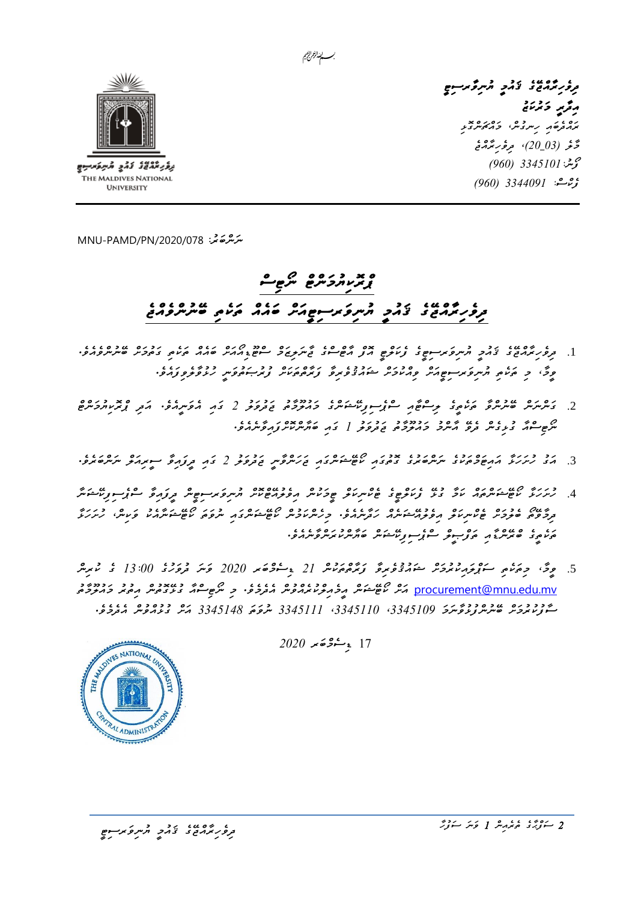

**UNIVERSITY** 

*ދިވެހިރާއްޖޭގެ ޤައުމީ ޔުނިވާރސިޓީ*  م*ُ قُرِیرِ دَ تُرْسَی* ره و روم ده در ده بر<br>پر<sub>ا</sub>زموه *د رس دس* کرد کوس د بر حَرَّحْر (20\_30)، م*رؤر بُذُ*دْخ  *ފޯނ3345101:ު )960( ފެކްސ:ް 3344091 )960(* 

*ﯩﻨﺮﯨ*ﯘﻏﯘ: MNU-PAMD/PN/2020/078

## *ޕްރޮކިޔުމަންޓް ނޯޓިސް ދިވެހިރާއްޖޭގެ ޤައުމީ ޔުނިވަރސިޓީއަށް ބައެއް ތަކެތި ބޭނުންވެއްޖެ*

بسسا الزمرانجيم

- .1 *ދިވެހިރާއްޖޭގެ ޤައުމީ ޔުނިވަރސިޓީގެ ފެކަލްޓީ އޮފް އާޓްސްގެ ޖާނަލިޒަމް ސްޓޫޑިއޯއަށް ބައެއް ތަކެތި ގަތުމަށް ބޭނުންވެއެވ.ެ ވީމ،ާ މި ތަކެތި ޔުނިވަރސިޓީއަށް ވިއްކުމަށް ޝައުޤުވެރިވާ ފަރާތްތަކަށް ފުރުޞަތުވަނީ ހުޅުވާލެވިފައެވ.ެ*
- .2 *ގަންނަން ބޭނުންވާ ތަކެތީގެ ލިސްޓާއި ސްޕެސިފިކޭޝަންގެ މައުލޫމާތު ޖަދުވަލު 2 ގައި އެވަނީއެވ.ެ އަދި ޕްރޮކިޔުމަންޓް ނޯޓިސްއާ ގުޅިގެން ދެވޭ އާންމު މައުލޫމާތު ޖަދުވަލު 1 ގައި ބަޔާންކޮށްފައިވާނެއެވ.ެ*
- .3 *އަގު ހުށަހަޅާ އައިޓަމްތަކުގެ ނަންބަރުގެ ގޮތުގައި ކޯޓޭޝަންގައި ޖަހަންވާނީ ޖަދުވަލު 2 ގައި ދީފައިވާ ސީރިއަލް ނަންބަރެވ.ެ*
- .4 *ހުށަހަޅާ ކޯޓޭޝަންތައް ކަމާ ގުޅޭ ފެކަލްޓީގެ ޓެކްނިކަލް ޓީމަކުން އިވެލުއޭޓްކޮށް ޔުނިވަރސިޓީން ދީފައިވާ ސްޕެސިފިކޭޝަނާ ދިމާވޭތޯ ބެލުމަށް ޓެކްނިކަލް އިވެލުއޭޝަނެއް ހަދާނެއެވ.ެ މިހެންކަމުން ކޯޓޭޝަންގައި ނުވަތަ ކޯޓޭޝަނާއެކު ވަކިނ،ް ހުށަހަޅާ ތަކެތީގެ ބްރޭންޑާއި ތަފްޞީލް ސްޕެސިފިކޭޝަން ބަޔާންކުރަންވާނެއެވ.ެ*
- .5 وِحَ، *ﺣِﻣ*َﻨﻤِ ﻣَﻨُّﻮﺗِﺮِﻣُّﻨُّﺮِ ﻣَﺘُﺮِّﻧُّﻮﻣِّﺮِ ﺗَﺘُﺮِّﻣُّﻮﻣُّﻨْﻣُّ 21 ﻳِﻣَّﺮُﻣُّﻮﻣُ 2020 ﻛُﻣَﺮَّ 13:00 \$ ﺗﯩﺒﯩﺮ procurement@mnu.edu.mv کمی شوکش مرفرمرمرمرمرمر متر*وجو، حي نگرم شور خومر مرمرمر حمر خورخو ސާފުކުރުމަށް ބޭނުންފުޅުވާނަމަ ،3345109 ،3345110 3345111 ނުވަތަ 3345148 އަށް ގުޅުއްވުން އެދެމެވ.ެ*

FE ANTIONAL UNITED **ALADMINISTR** 

 $2020 \times 222$   $17$ 

<del>، عبد عبد المعدد و</del><br>تر*ور برم*نځ *ی نخم*ر المبروکر سوچ

*2 ސަފްޙާގެ ތެރެއިން 1 ވަނަ ސަފުހާ*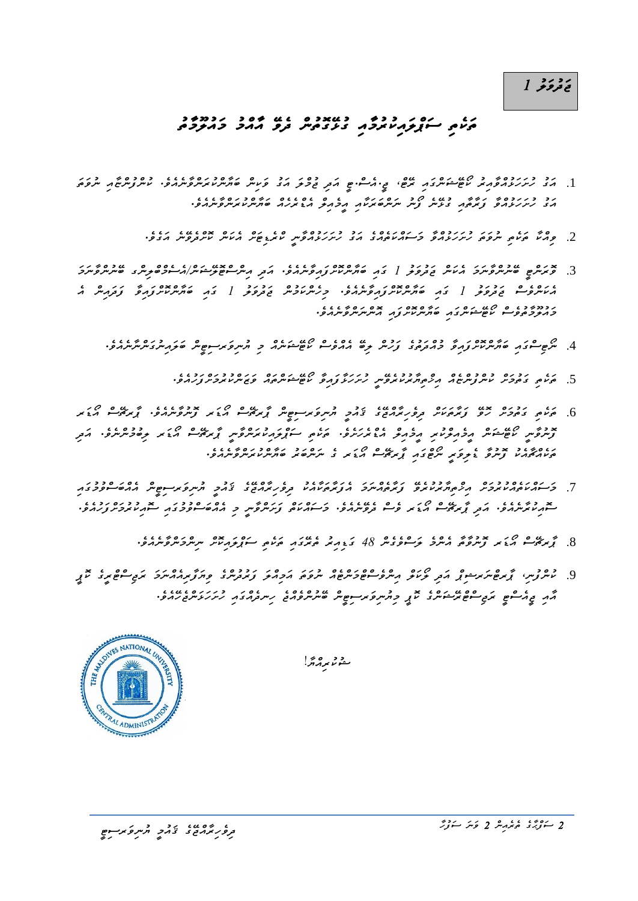ر د ر د<br>**ق**ءو *و د* 

## *ތަކެތި ސަޕްލައިކުރު މާއި ގުޅޭ ގޮތުން ދެވޭ އާއްމު މައުލޫމާތު*

- .1 *އަގު ހުށަހަޅުއްވާއިރު ކޯޓޭޝަންގައި ރޭޓ،ް ޖ.ީއެސ.ްޓީ އަދި ޖުމްލަ އަގު ވަކިން ބަޔާންކުރަންވާނެއެވ.ެ ކުންފުންޏާއި ނުވަތަ އަގު ހުށަހަޅުއްވާ ފަރާތާއި ގުޅޭނެ ފޯނު ނަންބަރަކާއި އީމެއިލް އެޑްރެހެއް ބަޔާންކުރަންވާނެއެވ.ެ* 
	- .2 *ވިއްކާ ތަކެތި ނުވަތަ ހުށަހަޅުއްވާ މަސައްކަތެއްގެ އަގު ހުށަހަޅުއްވާނީ ކްރެޑިޓަށް އެކަން ކޮށްދެވޭނެ އަގެވ.ެ*
- .3 *ވޮރަންޓީ ބޭނުންވާނަމަ އެކަން ޖަދުވަލު 1 ގައި ބަޔާންކޮށްފައިވާނެއެވ.ެ އަދި އިންސްޓޮލޭޝަނ/ްއެސެމްބްލިންގ ބޭނުންވާނަމަ އެކަންވެސް ޖަދުވަލު 1 ގައި ބަޔާންކޮށްފައިވާނެއެވ.ެ މިހެންކަމުން ޖަދުވަލު 1 ގައި ބަޔާންކޮށްފައިވާ ފަދައިން އެ މައުލޫމާތުވެސް ކޯޓޭޝަންގައި ބަޔާންކޮށްފައި އޮންނަންވާނެއެވ.ެ* 
	- .4 *ނޯޓިސްގައި ބަޔާންކޮށްފައިވާ މުއްދަތުގެ ފަހުން ލިބޭ އެއްވެސް ކޯޓޭޝަނެއް މި ޔުނިވަރސިޓީން ބަލައިނުގަންނާނެއެވ.ެ* 
		- .5 مرد مرد دوره دودوه مدودون درد درد مدد مدد درد.<br>5. مردم تحوضر مسروس بر مردم برمرد بروسر مد*ر دورو م*ن شهر مردم وسر مد*رج از ا*ز برا
- .<br>6. پی دوحر دو زیرپرس و وریرمحد دو مربر کرب و شرکت کرده کرد بر در ۱۰۰۰ و در در در در در در در در در استان *ފޮނުވާނީ ކޯޓޭޝަން އީމެއިލްކުރި އީމެއިލް އެޑްރެހަށެވ.ެ ތަކެތި ސަޕްލައިކުރަންވާނީ ޕާރޗޭސް އޯޑަރ ލިބުމުންނެވ.ެ އަދި ތަކެއްޗާއެކު ފޮނުވާ ޑެލިވަރީ ނޯޓްގައި ޕާރޗޭސް އޯޑަރ ގެ ނަންބަރު ބަޔާންކުރަންވާނެއެވ.ެ*
- .7 *މަސައްކަތެއްކުރުމަށް އިޚްތިޔާރުކުރެވޭ ފަރާތެއްނަމަ އެފަރާތަކާއެކު ދިވެހިރާއްޖޭގެ ޤައުމީ ޔުނިވަރސިޓީން އެއްބަސްވުމުގައި*  <del></sub>ح دی عاما کے دورے دی کے عام کا عامات کے دورے در دورے کے دورے دورے دی۔<br>سور *ماہر سرم دور* تحریکوسو ماہ کی کوسو ت*و دہر مور* کو سور *سور مورد مورد کے دور کے دور کے دور*ے دورے دورے دورے</del>
	- .8 *ޕާރޗޭސް އޯޑަރ ފޮނުވާތާ އެންމެ ލަސްވެގެން 48 ގަޑިއިރު ތެރޭގައި ތަކެތި ސަޕްލައިކޮށް ނިންމަންވާނެއެވ.ެ*
- .<br>9 مسروس، توسط مرسوق مع نومو مسروسی در در مرد برد و در دومبر و در در مدیست مرد موس *އާއި ޖީއެސްޓީ ރަޖިސްޓްރޭޝަންގެ ކޮޕީ މިޔުނިވަރސިޓީން ބޭނުންވެއްޖެ ހިނދެއްގައި ހުށަހަޅަންޖެހޭއެވ.ެ*



مەم برابراتكى با

*2 ސަފްޙާގެ ތެރެއިން 2 ވަނަ ސަފުހާ*

<del>م عرض در در در در در وی</del><br>مر*ور برم*ح در نامز در مرسوم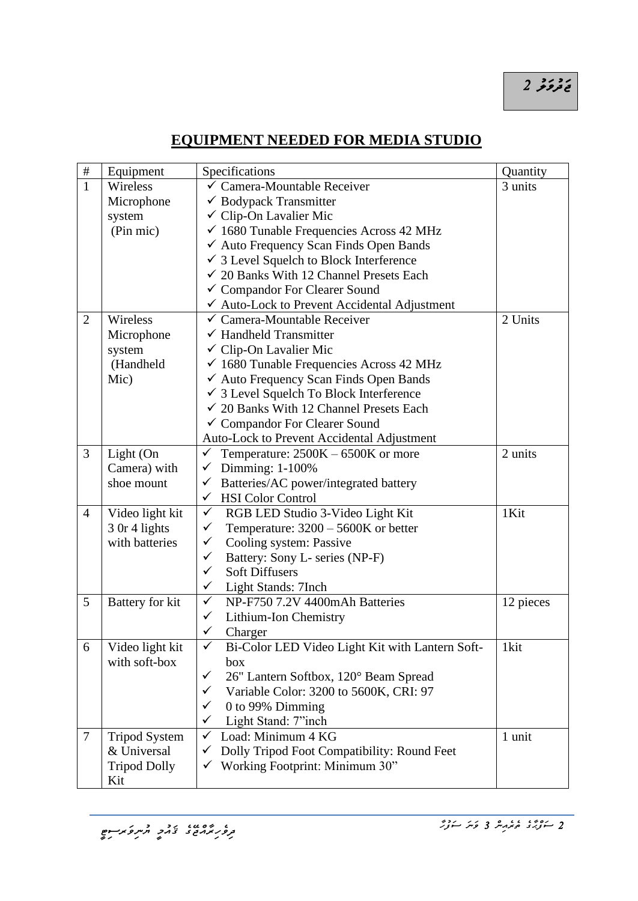## *ޖަދުވަލު 2*

## **EQUIPMENT NEEDED FOR MEDIA STUDIO**

| $\#$           | Equipment            | Specifications                                        | Quantity  |
|----------------|----------------------|-------------------------------------------------------|-----------|
| $\mathbf{1}$   | Wireless             | ✓ Camera-Mountable Receiver                           | 3 units   |
|                | Microphone           | $\checkmark$ Bodypack Transmitter                     |           |
|                | system               | $\checkmark$ Clip-On Lavalier Mic                     |           |
|                | (Pin mic)            | $\checkmark$ 1680 Tunable Frequencies Across 42 MHz   |           |
|                |                      | ← Auto Frequency Scan Finds Open Bands                |           |
|                |                      | $\checkmark$ 3 Level Squelch to Block Interference    |           |
|                |                      | $\checkmark$ 20 Banks With 12 Channel Presets Each    |           |
|                |                      | ✓ Compandor For Clearer Sound                         |           |
|                |                      | ✔ Auto-Lock to Prevent Accidental Adjustment          |           |
| $\overline{2}$ | Wireless             | $\checkmark$ Camera-Mountable Receiver                | 2 Units   |
|                | Microphone           | $\checkmark$ Handheld Transmitter                     |           |
|                | system               | ✓ Clip-On Lavalier Mic                                |           |
|                | (Handheld            | $\checkmark$ 1680 Tunable Frequencies Across 42 MHz   |           |
|                | Mic)                 | √ Auto Frequency Scan Finds Open Bands                |           |
|                |                      | ✔ 3 Level Squelch To Block Interference               |           |
|                |                      | $\checkmark$ 20 Banks With 12 Channel Presets Each    |           |
|                |                      | ✓ Compandor For Clearer Sound                         |           |
|                |                      | Auto-Lock to Prevent Accidental Adjustment            |           |
| 3              | Light (On            | $\checkmark$<br>Temperature: $2500K - 6500K$ or more  | 2 units   |
|                | Camera) with         | Dimming: 1-100%<br>$\checkmark$                       |           |
|                | shoe mount           | Batteries/AC power/integrated battery<br>$\checkmark$ |           |
|                |                      | <b>HSI</b> Color Control<br>$\checkmark$              |           |
| $\overline{4}$ | Video light kit      | $\checkmark$<br>RGB LED Studio 3-Video Light Kit      | 1Kit      |
|                | 3 Or 4 lights        | $\checkmark$<br>Temperature: $3200 - 5600K$ or better |           |
|                | with batteries       | Cooling system: Passive<br>$\checkmark$               |           |
|                |                      | $\checkmark$<br>Battery: Sony L- series (NP-F)        |           |
|                |                      | $\checkmark$<br><b>Soft Diffusers</b>                 |           |
|                |                      | $\checkmark$<br>Light Stands: 7Inch                   |           |
| 5              | Battery for kit      | $\checkmark$<br>NP-F750 7.2V 4400mAh Batteries        | 12 pieces |
|                |                      | Lithium-Ion Chemistry<br>✓                            |           |
|                |                      | ✓<br>Charger                                          |           |
| 6              | Video light kit      | Bi-Color LED Video Light Kit with Lantern Soft-<br>✓  | 1kit      |
|                | with soft-box        | box                                                   |           |
|                |                      | 26" Lantern Softbox, 120° Beam Spread<br>✓            |           |
|                |                      | Variable Color: 3200 to 5600K, CRI: 97<br>✓           |           |
|                |                      | $\checkmark$<br>0 to 99% Dimming                      |           |
|                |                      | Light Stand: 7"inch<br>✓                              |           |
| 7              | <b>Tripod System</b> | Load: Minimum 4 KG<br>$\checkmark$                    | 1 unit    |
|                | & Universal          | Dolly Tripod Foot Compatibility: Round Feet<br>v      |           |
|                | <b>Tripod Dolly</b>  | Working Footprint: Minimum 30"                        |           |
|                | Kit                  |                                                       |           |

*2 ސަފްޙާގެ ތެރެއިން 3 ވަނަ ސަފުހާ*